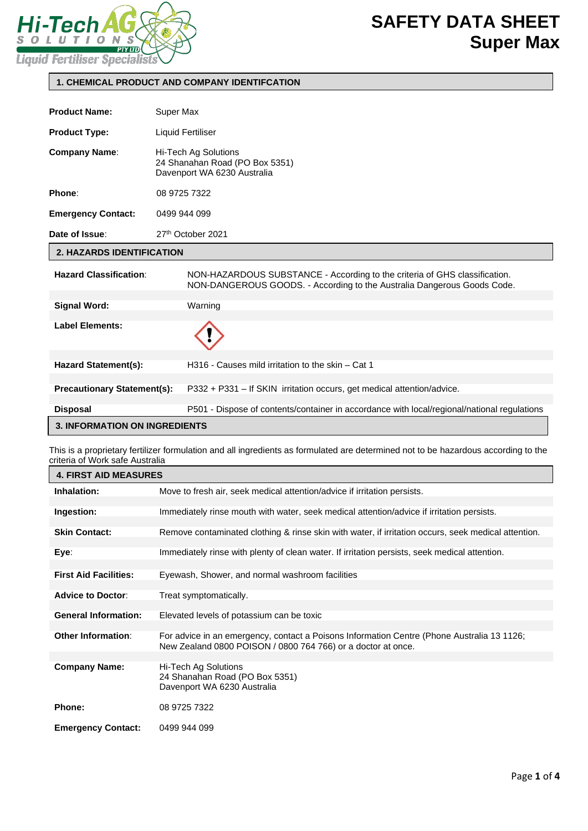

### **1. CHEMICAL PRODUCT AND COMPANY IDENTIFCATION**

| 1. CHEMICAL PRODUCT AND COMPANY IDENTIFCATION |                                                                                                                                                       |  |  |
|-----------------------------------------------|-------------------------------------------------------------------------------------------------------------------------------------------------------|--|--|
| <b>Product Name:</b>                          | Super Max                                                                                                                                             |  |  |
|                                               |                                                                                                                                                       |  |  |
| <b>Product Type:</b>                          | <b>Liquid Fertiliser</b>                                                                                                                              |  |  |
| <b>Company Name:</b>                          | Hi-Tech Ag Solutions<br>24 Shanahan Road (PO Box 5351)<br>Davenport WA 6230 Australia                                                                 |  |  |
| Phone:                                        | 08 9725 7322                                                                                                                                          |  |  |
| <b>Emergency Contact:</b>                     | 0499 944 099                                                                                                                                          |  |  |
| Date of Issue:                                | 27th October 2021                                                                                                                                     |  |  |
| <b>2. HAZARDS IDENTIFICATION</b>              |                                                                                                                                                       |  |  |
| <b>Hazard Classification:</b>                 | NON-HAZARDOUS SUBSTANCE - According to the criteria of GHS classification.<br>NON-DANGEROUS GOODS. - According to the Australia Dangerous Goods Code. |  |  |
| <b>Signal Word:</b>                           | Warning                                                                                                                                               |  |  |
| <b>Label Elements:</b>                        |                                                                                                                                                       |  |  |
| <b>Hazard Statement(s):</b>                   | H316 - Causes mild irritation to the skin – Cat 1                                                                                                     |  |  |
| <b>Precautionary Statement(s):</b>            | P332 + P331 - If SKIN irritation occurs, get medical attention/advice.                                                                                |  |  |
| <b>Disposal</b>                               | P501 - Dispose of contents/container in accordance with local/regional/national regulations                                                           |  |  |
| <b>3. INFORMATION ON INGREDIENTS</b>          |                                                                                                                                                       |  |  |

This is a proprietary fertilizer formulation and all ingredients as formulated are determined not to be hazardous according to the criteria of Work safe Australia

| <b>4. FIRST AID MEASURES</b> |                                                                                                     |  |  |
|------------------------------|-----------------------------------------------------------------------------------------------------|--|--|
| Inhalation:                  | Move to fresh air, seek medical attention/advice if irritation persists.                            |  |  |
|                              |                                                                                                     |  |  |
| Ingestion:                   | Immediately rinse mouth with water, seek medical attention/advice if irritation persists.           |  |  |
|                              |                                                                                                     |  |  |
| <b>Skin Contact:</b>         | Remove contaminated clothing & rinse skin with water, if irritation occurs, seek medical attention. |  |  |
|                              |                                                                                                     |  |  |
| Eye∶                         | Immediately rinse with plenty of clean water. If irritation persists, seek medical attention.       |  |  |
|                              |                                                                                                     |  |  |
| <b>First Aid Facilities:</b> | Eyewash, Shower, and normal washroom facilities                                                     |  |  |
|                              |                                                                                                     |  |  |
| <b>Advice to Doctor:</b>     | Treat symptomatically.                                                                              |  |  |
|                              |                                                                                                     |  |  |
| <b>General Information:</b>  | Elevated levels of potassium can be toxic                                                           |  |  |
|                              |                                                                                                     |  |  |
| <b>Other Information:</b>    | For advice in an emergency, contact a Poisons Information Centre (Phone Australia 13 1126;          |  |  |
|                              | New Zealand 0800 POISON / 0800 764 766) or a doctor at once.                                        |  |  |
|                              |                                                                                                     |  |  |
| <b>Company Name:</b>         | Hi-Tech Ag Solutions                                                                                |  |  |
|                              | 24 Shanahan Road (PO Box 5351)                                                                      |  |  |
|                              | Davenport WA 6230 Australia                                                                         |  |  |
|                              |                                                                                                     |  |  |
| <b>Phone:</b>                | 08 9725 7322                                                                                        |  |  |
|                              |                                                                                                     |  |  |
| <b>Emergency Contact:</b>    | 0499 944 099                                                                                        |  |  |
|                              |                                                                                                     |  |  |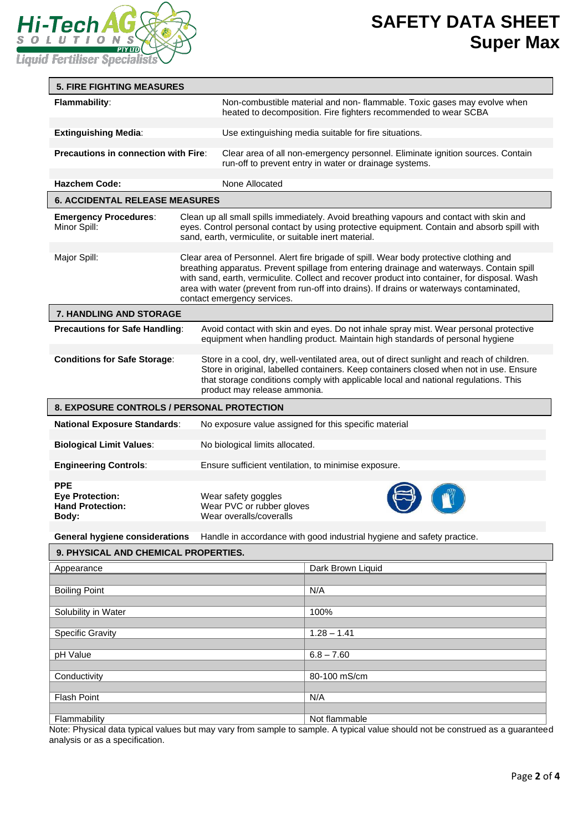

# **SAFETY DATA SHEET Super Max**

| <b>5. FIRE FIGHTING MEASURES</b>                                         |                                                                                                                                                                                                                                                                                                                                                                                                                  |                                                                                                                                                                                                                                                                                                            |  |  |  |
|--------------------------------------------------------------------------|------------------------------------------------------------------------------------------------------------------------------------------------------------------------------------------------------------------------------------------------------------------------------------------------------------------------------------------------------------------------------------------------------------------|------------------------------------------------------------------------------------------------------------------------------------------------------------------------------------------------------------------------------------------------------------------------------------------------------------|--|--|--|
| Flammability:                                                            |                                                                                                                                                                                                                                                                                                                                                                                                                  | Non-combustible material and non- flammable. Toxic gases may evolve when<br>heated to decomposition. Fire fighters recommended to wear SCBA                                                                                                                                                                |  |  |  |
| <b>Extinguishing Media:</b>                                              |                                                                                                                                                                                                                                                                                                                                                                                                                  | Use extinguishing media suitable for fire situations.                                                                                                                                                                                                                                                      |  |  |  |
| <b>Precautions in connection with Fire:</b>                              |                                                                                                                                                                                                                                                                                                                                                                                                                  | Clear area of all non-emergency personnel. Eliminate ignition sources. Contain<br>run-off to prevent entry in water or drainage systems.                                                                                                                                                                   |  |  |  |
| <b>Hazchem Code:</b>                                                     |                                                                                                                                                                                                                                                                                                                                                                                                                  | None Allocated                                                                                                                                                                                                                                                                                             |  |  |  |
| <b>6. ACCIDENTAL RELEASE MEASURES</b>                                    |                                                                                                                                                                                                                                                                                                                                                                                                                  |                                                                                                                                                                                                                                                                                                            |  |  |  |
| <b>Emergency Procedures:</b><br>Minor Spill:                             |                                                                                                                                                                                                                                                                                                                                                                                                                  | Clean up all small spills immediately. Avoid breathing vapours and contact with skin and<br>eyes. Control personal contact by using protective equipment. Contain and absorb spill with<br>sand, earth, vermiculite, or suitable inert material.                                                           |  |  |  |
| Major Spill:                                                             | Clear area of Personnel. Alert fire brigade of spill. Wear body protective clothing and<br>breathing apparatus. Prevent spillage from entering drainage and waterways. Contain spill<br>with sand, earth, vermiculite. Collect and recover product into container, for disposal. Wash<br>area with water (prevent from run-off into drains). If drains or waterways contaminated,<br>contact emergency services. |                                                                                                                                                                                                                                                                                                            |  |  |  |
| 7. HANDLING AND STORAGE                                                  |                                                                                                                                                                                                                                                                                                                                                                                                                  |                                                                                                                                                                                                                                                                                                            |  |  |  |
| <b>Precautions for Safe Handling:</b>                                    |                                                                                                                                                                                                                                                                                                                                                                                                                  | Avoid contact with skin and eyes. Do not inhale spray mist. Wear personal protective<br>equipment when handling product. Maintain high standards of personal hygiene                                                                                                                                       |  |  |  |
| <b>Conditions for Safe Storage:</b>                                      |                                                                                                                                                                                                                                                                                                                                                                                                                  | Store in a cool, dry, well-ventilated area, out of direct sunlight and reach of children.<br>Store in original, labelled containers. Keep containers closed when not in use. Ensure<br>that storage conditions comply with applicable local and national regulations. This<br>product may release ammonia. |  |  |  |
| <b>8. EXPOSURE CONTROLS / PERSONAL PROTECTION</b>                        |                                                                                                                                                                                                                                                                                                                                                                                                                  |                                                                                                                                                                                                                                                                                                            |  |  |  |
| <b>National Exposure Standards:</b>                                      |                                                                                                                                                                                                                                                                                                                                                                                                                  | No exposure value assigned for this specific material                                                                                                                                                                                                                                                      |  |  |  |
| <b>Biological Limit Values:</b>                                          |                                                                                                                                                                                                                                                                                                                                                                                                                  | No biological limits allocated.                                                                                                                                                                                                                                                                            |  |  |  |
| <b>Engineering Controls:</b>                                             |                                                                                                                                                                                                                                                                                                                                                                                                                  | Ensure sufficient ventilation, to minimise exposure.                                                                                                                                                                                                                                                       |  |  |  |
| <b>PPE</b><br><b>Eye Protection:</b><br><b>Hand Protection:</b><br>Body: |                                                                                                                                                                                                                                                                                                                                                                                                                  | Wear safety goggles<br>Wear PVC or rubber gloves<br>Wear overalls/coveralls                                                                                                                                                                                                                                |  |  |  |
| <b>General hygiene considerations</b>                                    |                                                                                                                                                                                                                                                                                                                                                                                                                  | Handle in accordance with good industrial hygiene and safety practice.                                                                                                                                                                                                                                     |  |  |  |

# **9. PHYSICAL AND CHEMICAL PROPERTIES.**

| Appearance              | Dark Brown Liquid |
|-------------------------|-------------------|
|                         |                   |
| <b>Boiling Point</b>    | N/A               |
|                         |                   |
| Solubility in Water     | 100%              |
|                         |                   |
| <b>Specific Gravity</b> | $1.28 - 1.41$     |
|                         |                   |
| pH Value                | $6.8 - 7.60$      |
|                         |                   |
| Conductivity            | 80-100 mS/cm      |
|                         |                   |
| <b>Flash Point</b>      | N/A               |
|                         |                   |
| Flammability            | Not flammable     |

Note: Physical data typical values but may vary from sample to sample. A typical value should not be construed as a guaranteed analysis or as a specification.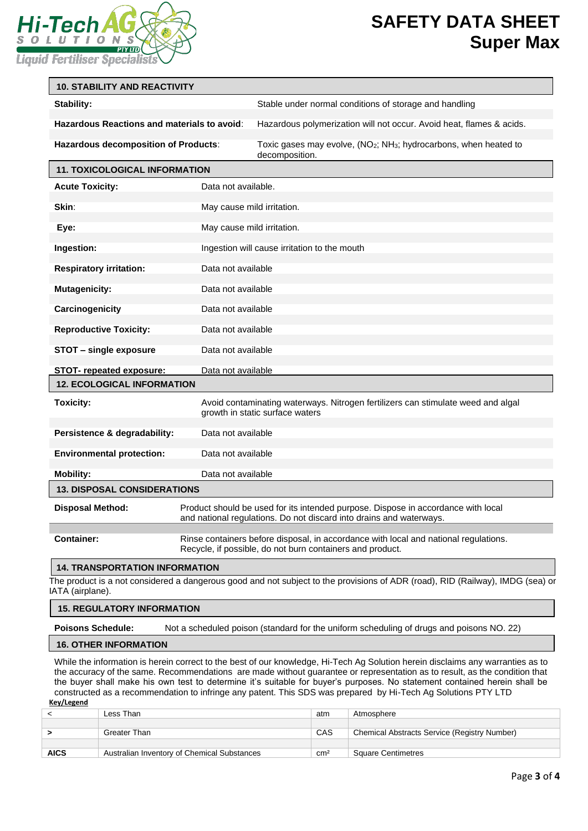

### **SAFETY DATA SHEET Super Max**

| <b>10. STABILITY AND REACTIVITY</b>         |                     |                                                                                                                                                          |  |  |
|---------------------------------------------|---------------------|----------------------------------------------------------------------------------------------------------------------------------------------------------|--|--|
| Stability:                                  |                     | Stable under normal conditions of storage and handling                                                                                                   |  |  |
| Hazardous Reactions and materials to avoid: |                     | Hazardous polymerization will not occur. Avoid heat, flames & acids.                                                                                     |  |  |
| <b>Hazardous decomposition of Products:</b> |                     | Toxic gases may evolve, (NO <sub>2</sub> ; NH <sub>3</sub> ; hydrocarbons, when heated to<br>decomposition.                                              |  |  |
| <b>11. TOXICOLOGICAL INFORMATION</b>        |                     |                                                                                                                                                          |  |  |
| <b>Acute Toxicity:</b>                      | Data not available. |                                                                                                                                                          |  |  |
| Skin:                                       |                     | May cause mild irritation.                                                                                                                               |  |  |
| Eye:                                        |                     | May cause mild irritation.                                                                                                                               |  |  |
| Ingestion:                                  |                     | Ingestion will cause irritation to the mouth                                                                                                             |  |  |
| <b>Respiratory irritation:</b>              | Data not available  |                                                                                                                                                          |  |  |
| <b>Mutagenicity:</b>                        | Data not available  |                                                                                                                                                          |  |  |
| Carcinogenicity                             | Data not available  |                                                                                                                                                          |  |  |
| <b>Reproductive Toxicity:</b>               | Data not available  |                                                                                                                                                          |  |  |
| STOT - single exposure                      | Data not available  |                                                                                                                                                          |  |  |
| <b>STOT-</b> repeated exposure:             | Data not available  |                                                                                                                                                          |  |  |
| <b>12. ECOLOGICAL INFORMATION</b>           |                     |                                                                                                                                                          |  |  |
| <b>Toxicity:</b>                            |                     | Avoid contaminating waterways. Nitrogen fertilizers can stimulate weed and algal<br>growth in static surface waters                                      |  |  |
| Persistence & degradability:                | Data not available  |                                                                                                                                                          |  |  |
| <b>Environmental protection:</b>            | Data not available  |                                                                                                                                                          |  |  |
| <b>Mobility:</b>                            | Data not available  |                                                                                                                                                          |  |  |
| <b>13. DISPOSAL CONSIDERATIONS</b>          |                     |                                                                                                                                                          |  |  |
| <b>Disposal Method:</b>                     |                     | Product should be used for its intended purpose. Dispose in accordance with local<br>and national regulations. Do not discard into drains and waterways. |  |  |
| <b>Container:</b>                           |                     | Rinse containers before disposal, in accordance with local and national regulations.<br>Recycle, if possible, do not burn containers and product.        |  |  |
| <b>14. TRANSPORTATION INFORMATION</b>       |                     |                                                                                                                                                          |  |  |
|                                             |                     | The product is a not considered a dangerous good and not subject to the provisions of ADR (road), RID (Railway), IMDG (sea) or                           |  |  |

IATA (airplane).

Ļ

#### **15. REGULATORY INFORMATION**

**Poisons Schedule:** Not a scheduled poison (standard for the uniform scheduling of drugs and poisons NO. 22)

### **16. OTHER INFORMATION**

While the information is herein correct to the best of our knowledge, Hi-Tech Ag Solution herein disclaims any warranties as to the accuracy of the same. Recommendations are made without guarantee or representation as to result, as the condition that the buyer shall make his own test to determine it's suitable for buyer's purposes. No statement contained herein shall be constructed as a recommendation to infringe any patent. This SDS was prepared by Hi-Tech Ag Solutions PTY LTD **Key/Legend**

| Less Than                                   | atm             | Atmosphere                                   |
|---------------------------------------------|-----------------|----------------------------------------------|
|                                             |                 |                                              |
| Greater Than                                | CAS             | Chemical Abstracts Service (Registry Number) |
|                                             |                 |                                              |
| Australian Inventory of Chemical Substances | cm <sup>2</sup> | <b>Square Centimetres</b>                    |
|                                             |                 |                                              |